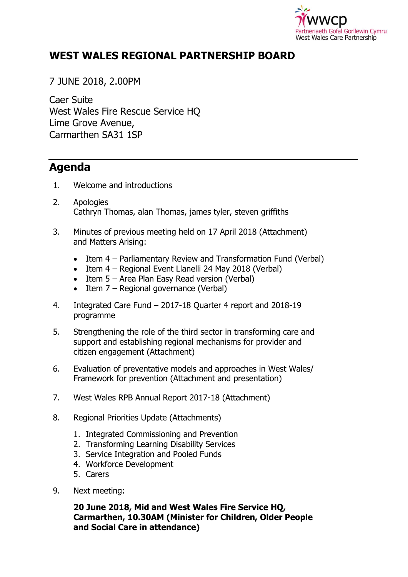

## **WEST WALES REGIONAL PARTNERSHIP BOARD**

7 JUNE 2018, 2.00PM

Caer Suite West Wales Fire Rescue Service HQ Lime Grove Avenue, Carmarthen SA31 1SP

## **Agenda**

- 1. Welcome and introductions
- 2. Apologies Cathryn Thomas, alan Thomas, james tyler, steven griffiths
- 3. Minutes of previous meeting held on 17 April 2018 (Attachment) and Matters Arising:
	- Item 4 Parliamentary Review and Transformation Fund (Verbal)
	- Item 4 Regional Event Llanelli 24 May 2018 (Verbal)
	- Item 5 Area Plan Easy Read version (Verbal)
	- $\bullet$  Item 7 Regional governance (Verbal)
- 4. Integrated Care Fund 2017-18 Quarter 4 report and 2018-19 programme
- 5. Strengthening the role of the third sector in transforming care and support and establishing regional mechanisms for provider and citizen engagement (Attachment)
- 6. Evaluation of preventative models and approaches in West Wales/ Framework for prevention (Attachment and presentation)
- 7. West Wales RPB Annual Report 2017-18 (Attachment)
- 8. Regional Priorities Update (Attachments)
	- 1. Integrated Commissioning and Prevention
	- 2. Transforming Learning Disability Services
	- 3. Service Integration and Pooled Funds
	- 4. Workforce Development
	- 5. Carers
- 9. Next meeting:

## **20 June 2018, Mid and West Wales Fire Service HQ, Carmarthen, 10.30AM (Minister for Children, Older People and Social Care in attendance)**